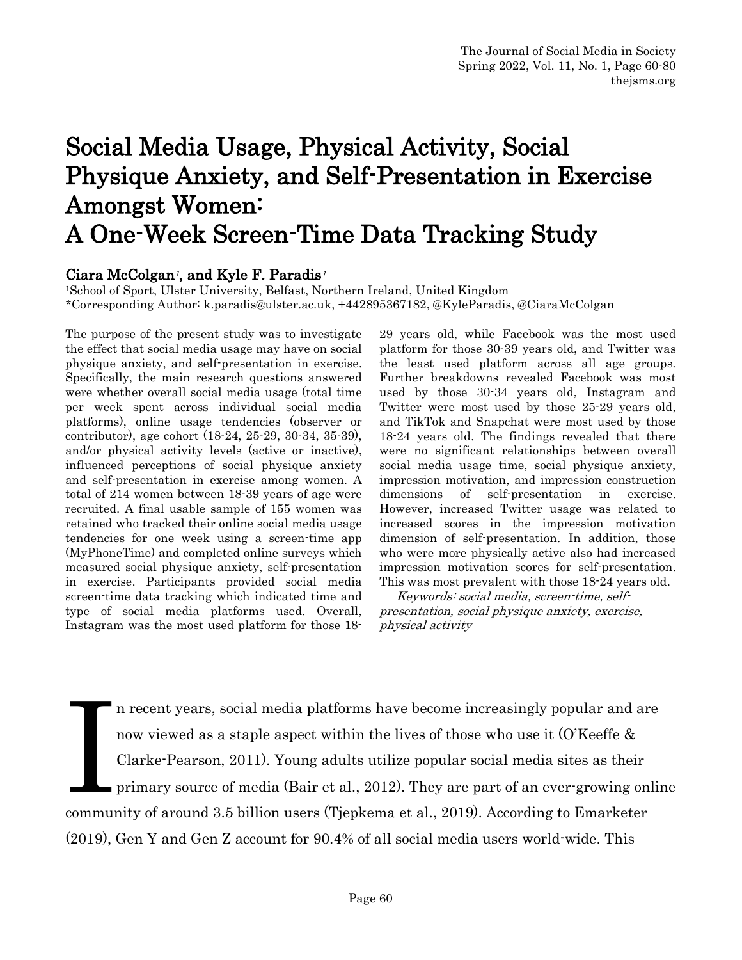# Social Media Usage, Physical Activity, Social Physique Anxiety, and Self-Presentation in Exercise Amongst Women: A One-Week Screen-Time Data Tracking Study

Ciara McColgan<sup>1</sup>, and Kyle F. Paradis<sup>1</sup><br><sup>1</sup>School of Sport, Ulster University, Belfast, Northern Ireland, United Kingdom \*Corresponding Author: k.paradis@ulster.ac.uk, +442895367182, @KyleParadis, @CiaraMcColgan

The purpose of the present study was to investigate the effect that social media usage may have on social physique anxiety, and self-presentation in exercise. Specifically, the main research questions answered were whether overall social media usage (total time per week spent across individual social media platforms), online usage tendencies (observer or contributor), age cohort (18-24, 25-29, 30-34, 35-39), and/or physical activity levels (active or inactive), influenced perceptions of social physique anxiety and self-presentation in exercise among women. A total of 214 women between 18-39 years of age were recruited. A final usable sample of 155 women was retained who tracked their online social media usage tendencies for one week using a screen-time app (MyPhoneTime) and completed online surveys which measured social physique anxiety, self-presentation in exercise. Participants provided social media screen-time data tracking which indicated time and type of social media platforms used. Overall, Instagram was the most used platform for those 1829 years old, while Facebook was the most used platform for those 30-39 years old, and Twitter was the least used platform across all age groups. Further breakdowns revealed Facebook was most used by those 30-34 years old, Instagram and Twitter were most used by those 25-29 years old, and TikTok and Snapchat were most used by those 18-24 years old. The findings revealed that there were no significant relationships between overall social media usage time, social physique anxiety, impression motivation, and impression construction dimensions of self-presentation in exercise. However, increased Twitter usage was related to increased scores in the impression motivation dimension of self-presentation. In addition, those who were more physically active also had increased impression motivation scores for self-presentation. This was most prevalent with those 18-24 years old.

 Keywords: social media, screen-time, selfpresentation, social physique anxiety, exercise, physical activity

n recent years, social media platforms have become increasingly popular and are now viewed as a staple aspect within the lives of those who use it (O'Keeffe & Clarke-Pearson, 2011). Young adults utilize popular social media sites as their primary source of media (Bair et al., 2012). They are part of an ever-growing online community of around 3.5 billion users (Tjepkema et al., 2019). According to Emarketer (2019), Gen Y and Gen Z account for 90.4% of all social media users world-wide. This **I**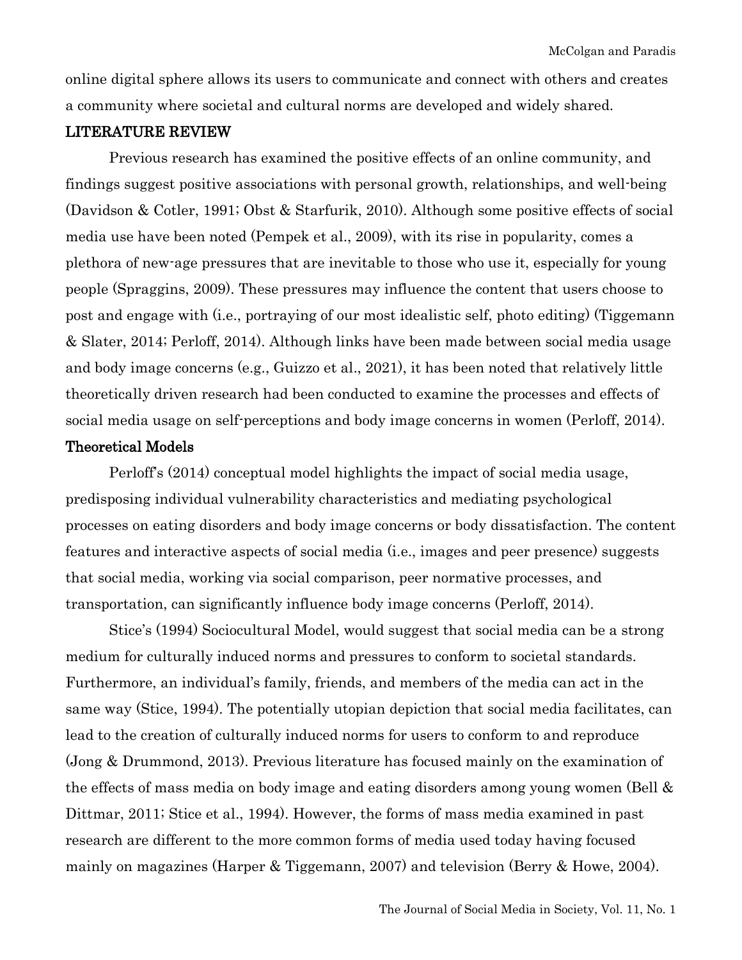online digital sphere allows its users to communicate and connect with others and creates a community where societal and cultural norms are developed and widely shared.

#### LITERATURE REVIEW

Previous research has examined the positive effects of an online community, and findings suggest positive associations with personal growth, relationships, and well-being (Davidson & Cotler, 1991; Obst & Starfurik, 2010). Although some positive effects of social media use have been noted (Pempek et al., 2009), with its rise in popularity, comes a plethora of new-age pressures that are inevitable to those who use it, especially for young people (Spraggins, 2009). These pressures may influence the content that users choose to post and engage with (i.e., portraying of our most idealistic self, photo editing) (Tiggemann & Slater, 2014; Perloff, 2014). Although links have been made between social media usage and body image concerns (e.g., Guizzo et al., 2021), it has been noted that relatively little theoretically driven research had been conducted to examine the processes and effects of social media usage on self-perceptions and body image concerns in women (Perloff, 2014).

## Theoretical Models

Perloff's (2014) conceptual model highlights the impact of social media usage, predisposing individual vulnerability characteristics and mediating psychological processes on eating disorders and body image concerns or body dissatisfaction. The content features and interactive aspects of social media (i.e., images and peer presence) suggests that social media, working via social comparison, peer normative processes, and transportation, can significantly influence body image concerns (Perloff, 2014).

Stice's (1994) Sociocultural Model, would suggest that social media can be a strong medium for culturally induced norms and pressures to conform to societal standards. Furthermore, an individual's family, friends, and members of the media can act in the same way (Stice, 1994). The potentially utopian depiction that social media facilitates, can lead to the creation of culturally induced norms for users to conform to and reproduce (Jong & Drummond, 2013). Previous literature has focused mainly on the examination of the effects of mass media on body image and eating disorders among young women (Bell & Dittmar, 2011; Stice et al., 1994). However, the forms of mass media examined in past research are different to the more common forms of media used today having focused mainly on magazines (Harper & Tiggemann, 2007) and television (Berry & Howe, 2004).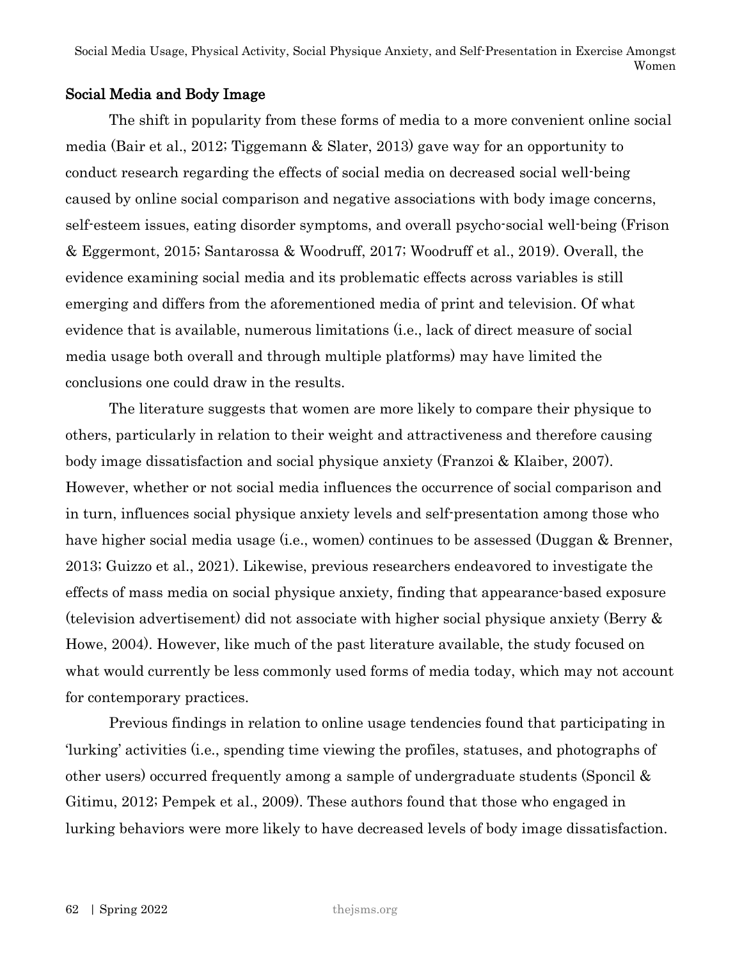# Social Media and Body Image

The shift in popularity from these forms of media to a more convenient online social media (Bair et al., 2012; Tiggemann & Slater, 2013) gave way for an opportunity to conduct research regarding the effects of social media on decreased social well-being caused by online social comparison and negative associations with body image concerns, self-esteem issues, eating disorder symptoms, and overall psycho-social well-being (Frison & Eggermont, 2015; Santarossa & Woodruff, 2017; Woodruff et al., 2019). Overall, the evidence examining social media and its problematic effects across variables is still emerging and differs from the aforementioned media of print and television. Of what evidence that is available, numerous limitations (i.e., lack of direct measure of social media usage both overall and through multiple platforms) may have limited the conclusions one could draw in the results.

The literature suggests that women are more likely to compare their physique to others, particularly in relation to their weight and attractiveness and therefore causing body image dissatisfaction and social physique anxiety (Franzoi & Klaiber, 2007). However, whether or not social media influences the occurrence of social comparison and in turn, influences social physique anxiety levels and self-presentation among those who have higher social media usage (i.e., women) continues to be assessed (Duggan & Brenner, 2013; Guizzo et al., 2021). Likewise, previous researchers endeavored to investigate the effects of mass media on social physique anxiety, finding that appearance-based exposure (television advertisement) did not associate with higher social physique anxiety (Berry & Howe, 2004). However, like much of the past literature available, the study focused on what would currently be less commonly used forms of media today, which may not account for contemporary practices.

Previous findings in relation to online usage tendencies found that participating in 'lurking' activities (i.e., spending time viewing the profiles, statuses, and photographs of other users) occurred frequently among a sample of undergraduate students (Sponcil & Gitimu, 2012; Pempek et al., 2009). These authors found that those who engaged in lurking behaviors were more likely to have decreased levels of body image dissatisfaction.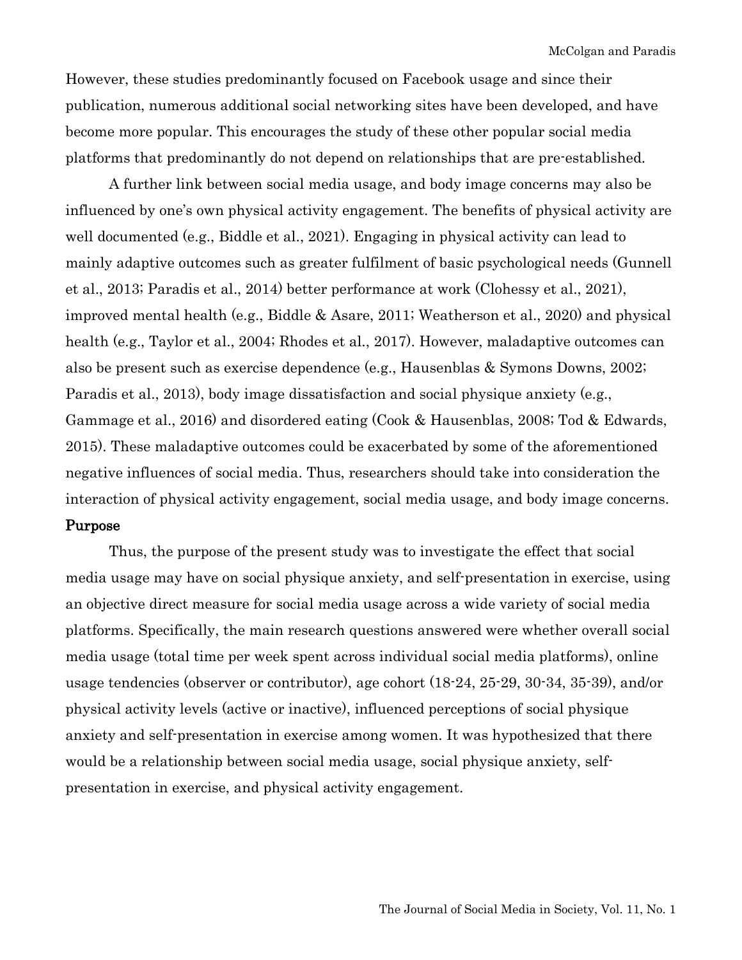However, these studies predominantly focused on Facebook usage and since their publication, numerous additional social networking sites have been developed, and have become more popular. This encourages the study of these other popular social media platforms that predominantly do not depend on relationships that are pre-established.

A further link between social media usage, and body image concerns may also be influenced by one's own physical activity engagement. The benefits of physical activity are well documented (e.g., Biddle et al., 2021). Engaging in physical activity can lead to mainly adaptive outcomes such as greater fulfilment of basic psychological needs (Gunnell et al., 2013; Paradis et al., 2014) better performance at work (Clohessy et al., 2021), improved mental health (e.g., Biddle & Asare, 2011; Weatherson et al., 2020) and physical health (e.g., Taylor et al., 2004; Rhodes et al., 2017). However, maladaptive outcomes can also be present such as exercise dependence (e.g., Hausenblas & Symons Downs, 2002; Paradis et al., 2013), body image dissatisfaction and social physique anxiety (e.g., Gammage et al., 2016) and disordered eating (Cook & Hausenblas, 2008; Tod & Edwards, 2015). These maladaptive outcomes could be exacerbated by some of the aforementioned negative influences of social media. Thus, researchers should take into consideration the interaction of physical activity engagement, social media usage, and body image concerns.

#### Purpose

Thus, the purpose of the present study was to investigate the effect that social media usage may have on social physique anxiety, and self-presentation in exercise, using an objective direct measure for social media usage across a wide variety of social media platforms. Specifically, the main research questions answered were whether overall social media usage (total time per week spent across individual social media platforms), online usage tendencies (observer or contributor), age cohort (18-24, 25-29, 30-34, 35-39), and/or physical activity levels (active or inactive), influenced perceptions of social physique anxiety and self-presentation in exercise among women. It was hypothesized that there would be a relationship between social media usage, social physique anxiety, selfpresentation in exercise, and physical activity engagement.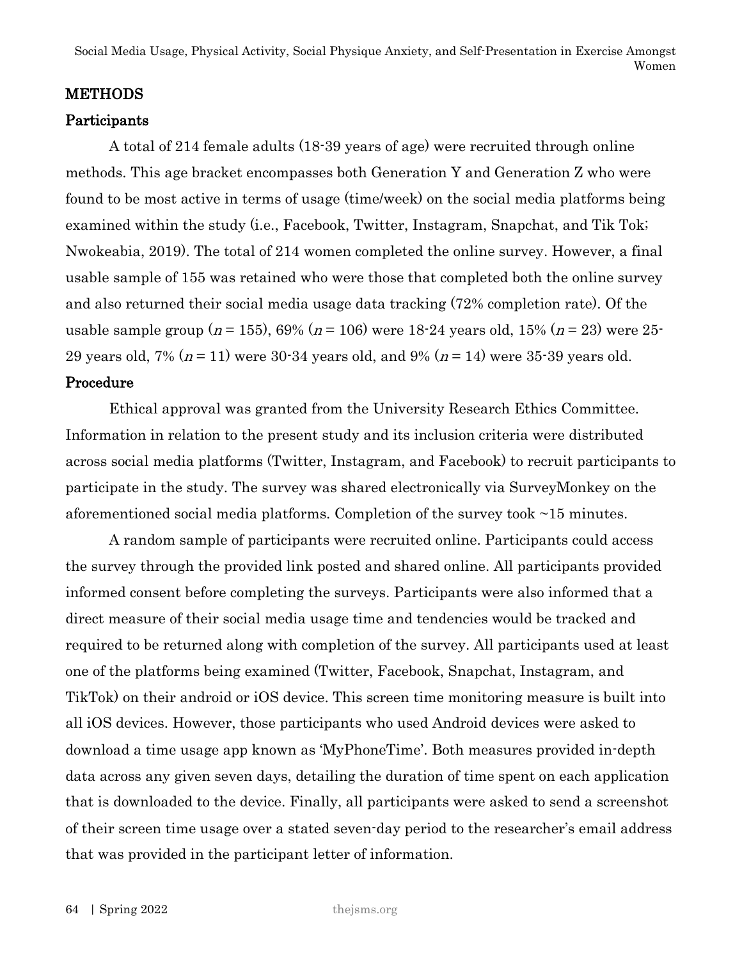Social Media Usage, Physical Activity, Social Physique Anxiety, and Self-Presentation in Exercise Amongst Women

#### **METHODS**

#### Participants

A total of 214 female adults (18-39 years of age) were recruited through online methods. This age bracket encompasses both Generation Y and Generation Z who were found to be most active in terms of usage (time/week) on the social media platforms being examined within the study (i.e., Facebook, Twitter, Instagram, Snapchat, and Tik Tok; Nwokeabia, 2019). The total of 214 women completed the online survey. However, a final usable sample of 155 was retained who were those that completed both the online survey and also returned their social media usage data tracking (72% completion rate). Of the usable sample group ( $n = 155$ ), 69% ( $n = 106$ ) were 18-24 years old, 15% ( $n = 23$ ) were 25-29 years old, 7% ( $n = 11$ ) were 30-34 years old, and 9% ( $n = 14$ ) were 35-39 years old.

#### Procedure

Ethical approval was granted from the University Research Ethics Committee. Information in relation to the present study and its inclusion criteria were distributed across social media platforms (Twitter, Instagram, and Facebook) to recruit participants to participate in the study. The survey was shared electronically via SurveyMonkey on the aforementioned social media platforms. Completion of the survey took ~15 minutes.

A random sample of participants were recruited online. Participants could access the survey through the provided link posted and shared online. All participants provided informed consent before completing the surveys. Participants were also informed that a direct measure of their social media usage time and tendencies would be tracked and required to be returned along with completion of the survey. All participants used at least one of the platforms being examined (Twitter, Facebook, Snapchat, Instagram, and TikTok) on their android or iOS device. This screen time monitoring measure is built into all iOS devices. However, those participants who used Android devices were asked to download a time usage app known as 'MyPhoneTime'. Both measures provided in-depth data across any given seven days, detailing the duration of time spent on each application that is downloaded to the device. Finally, all participants were asked to send a screenshot of their screen time usage over a stated seven-day period to the researcher's email address that was provided in the participant letter of information.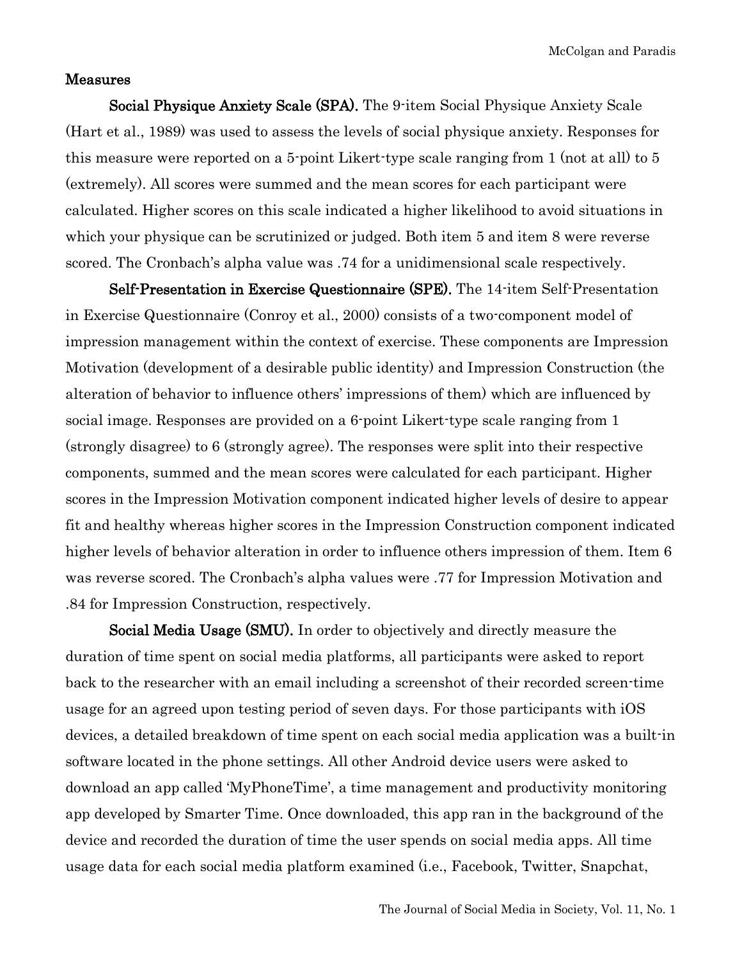#### Measures

Social Physique Anxiety Scale (SPA). The 9-item Social Physique Anxiety Scale (Hart et al., 1989) was used to assess the levels of social physique anxiety. Responses for this measure were reported on a 5-point Likert-type scale ranging from 1 (not at all) to 5 (extremely). All scores were summed and the mean scores for each participant were calculated. Higher scores on this scale indicated a higher likelihood to avoid situations in which your physique can be scrutinized or judged. Both item 5 and item 8 were reverse scored. The Cronbach's alpha value was .74 for a unidimensional scale respectively.

Self-Presentation in Exercise Questionnaire (SPE). The 14-item Self-Presentation in Exercise Questionnaire (Conroy et al., 2000) consists of a two-component model of impression management within the context of exercise. These components are Impression Motivation (development of a desirable public identity) and Impression Construction (the alteration of behavior to influence others' impressions of them) which are influenced by social image. Responses are provided on a 6-point Likert-type scale ranging from 1 (strongly disagree) to 6 (strongly agree). The responses were split into their respective components, summed and the mean scores were calculated for each participant. Higher scores in the Impression Motivation component indicated higher levels of desire to appear fit and healthy whereas higher scores in the Impression Construction component indicated higher levels of behavior alteration in order to influence others impression of them. Item 6 was reverse scored. The Cronbach's alpha values were .77 for Impression Motivation and .84 for Impression Construction, respectively.

Social Media Usage (SMU). In order to objectively and directly measure the duration of time spent on social media platforms, all participants were asked to report back to the researcher with an email including a screenshot of their recorded screen-time usage for an agreed upon testing period of seven days. For those participants with iOS devices, a detailed breakdown of time spent on each social media application was a built-in software located in the phone settings. All other Android device users were asked to download an app called 'MyPhoneTime', a time management and productivity monitoring app developed by Smarter Time. Once downloaded, this app ran in the background of the device and recorded the duration of time the user spends on social media apps. All time usage data for each social media platform examined (i.e., Facebook, Twitter, Snapchat,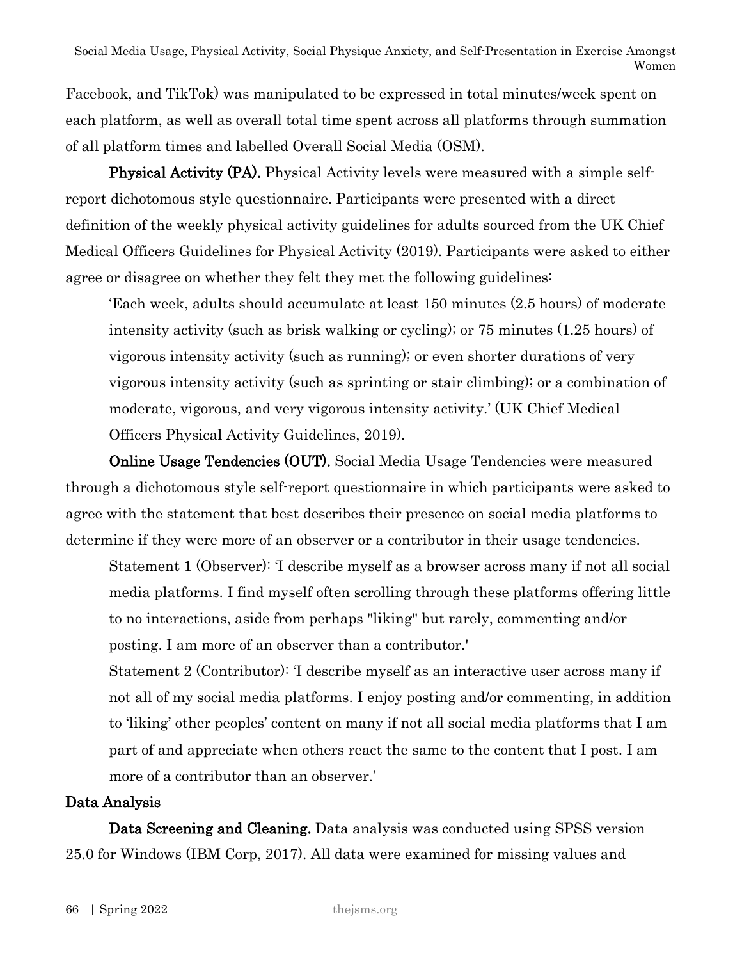Facebook, and TikTok) was manipulated to be expressed in total minutes/week spent on each platform, as well as overall total time spent across all platforms through summation of all platform times and labelled Overall Social Media (OSM).

**Physical Activity (PA).** Physical Activity levels were measured with a simple selfreport dichotomous style questionnaire. Participants were presented with a direct definition of the weekly physical activity guidelines for adults sourced from the UK Chief Medical Officers Guidelines for Physical Activity (2019). Participants were asked to either agree or disagree on whether they felt they met the following guidelines:

'Each week, adults should accumulate at least 150 minutes (2.5 hours) of moderate intensity activity (such as brisk walking or cycling); or 75 minutes (1.25 hours) of vigorous intensity activity (such as running); or even shorter durations of very vigorous intensity activity (such as sprinting or stair climbing); or a combination of moderate, vigorous, and very vigorous intensity activity.' (UK Chief Medical Officers Physical Activity Guidelines, 2019).

Online Usage Tendencies (OUT). Social Media Usage Tendencies were measured through a dichotomous style self-report questionnaire in which participants were asked to agree with the statement that best describes their presence on social media platforms to determine if they were more of an observer or a contributor in their usage tendencies.

Statement 1 (Observer): 'I describe myself as a browser across many if not all social media platforms. I find myself often scrolling through these platforms offering little to no interactions, aside from perhaps "liking" but rarely, commenting and/or posting. I am more of an observer than a contributor.'

Statement 2 (Contributor): 'I describe myself as an interactive user across many if not all of my social media platforms. I enjoy posting and/or commenting, in addition to 'liking' other peoples' content on many if not all social media platforms that I am part of and appreciate when others react the same to the content that I post. I am more of a contributor than an observer.'

# Data Analysis

Data Screening and Cleaning. Data analysis was conducted using SPSS version 25.0 for Windows (IBM Corp, 2017). All data were examined for missing values and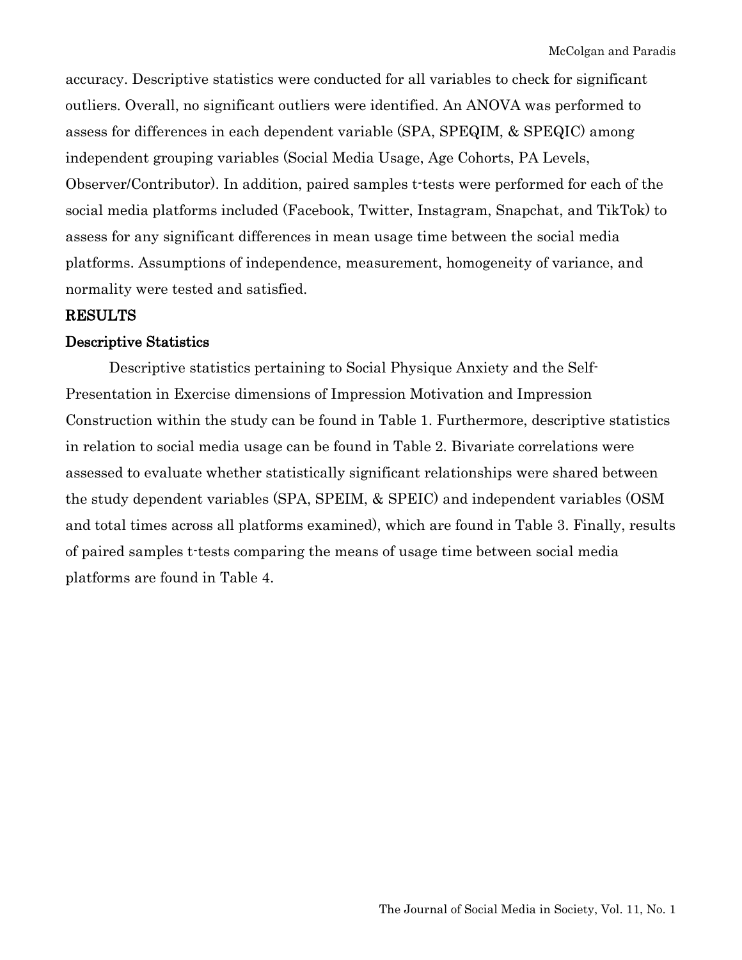accuracy. Descriptive statistics were conducted for all variables to check for significant outliers. Overall, no significant outliers were identified. An ANOVA was performed to assess for differences in each dependent variable (SPA, SPEQIM, & SPEQIC) among independent grouping variables (Social Media Usage, Age Cohorts, PA Levels, Observer/Contributor). In addition, paired samples t-tests were performed for each of the social media platforms included (Facebook, Twitter, Instagram, Snapchat, and TikTok) to assess for any significant differences in mean usage time between the social media platforms. Assumptions of independence, measurement, homogeneity of variance, and normality were tested and satisfied.

#### RESULTS

#### Descriptive Statistics

Descriptive statistics pertaining to Social Physique Anxiety and the Self-Presentation in Exercise dimensions of Impression Motivation and Impression Construction within the study can be found in Table 1. Furthermore, descriptive statistics in relation to social media usage can be found in Table 2. Bivariate correlations were assessed to evaluate whether statistically significant relationships were shared between the study dependent variables (SPA, SPEIM, & SPEIC) and independent variables (OSM and total times across all platforms examined), which are found in Table 3. Finally, results of paired samples t-tests comparing the means of usage time between social media platforms are found in Table 4.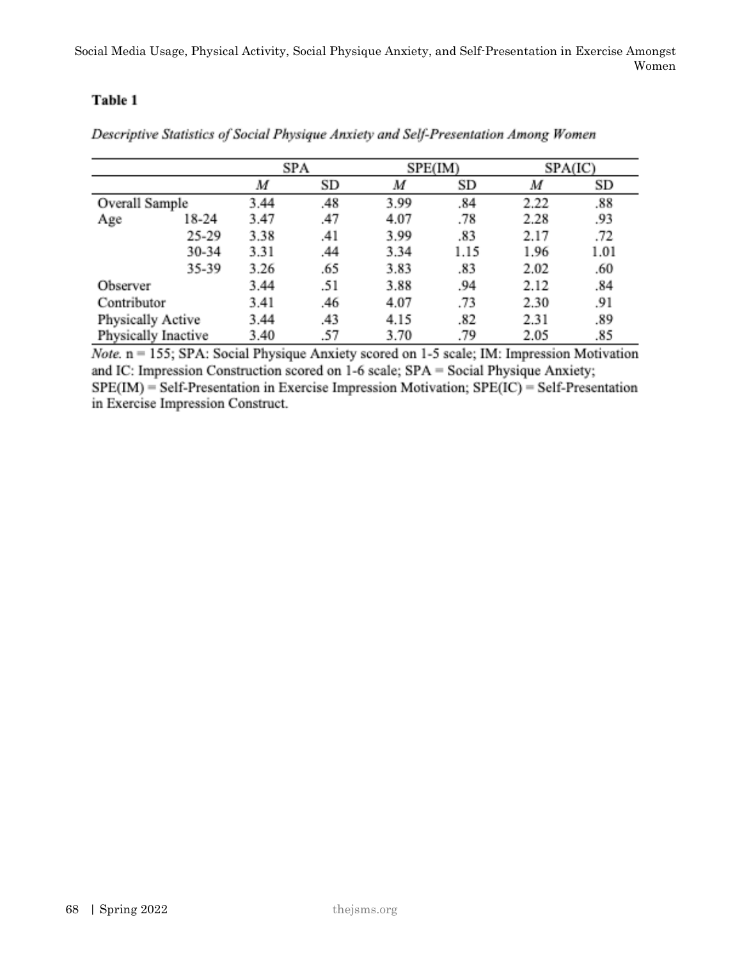Social Media Usage, Physical Activity, Social Physique Anxiety, and Self-Presentation in Exercise Amongst Women

# Table 1

|                     |       | SPA  |     |      | SPE(IM) | SPA(IC) |      |  |
|---------------------|-------|------|-----|------|---------|---------|------|--|
|                     |       | M    | SD  | M    | SD      | M       | SD   |  |
| Overall Sample      |       | 3.44 | .48 | 3.99 | .84     | 2.22    | .88  |  |
| Age                 | 18-24 | 3.47 | .47 | 4.07 | .78     | 2.28    | .93  |  |
|                     | 25-29 | 3.38 | .41 | 3.99 | .83     | 2.17    | .72  |  |
|                     | 30-34 | 3.31 | .44 | 3.34 | 1.15    | 1.96    | 1.01 |  |
|                     | 35-39 | 3.26 | .65 | 3.83 | .83     | 2.02    | .60  |  |
| Observer            |       | 3.44 | .51 | 3.88 | .94     | 2.12    | .84  |  |
| Contributor         |       | 3.41 | .46 | 4.07 | .73     | 2.30    | .91  |  |
| Physically Active   |       | 3.44 | .43 | 4.15 | .82     | 2.31    | .89  |  |
| Physically Inactive |       | 3.40 | .57 | 3.70 | .79     | 2.05    | .85  |  |

Descriptive Statistics of Social Physique Anxiety and Self-Presentation Among Women

*Note.*  $n = 155$ ; SPA: Social Physique Anxiety scored on 1-5 scale; IM: Impression Motivation and IC: Impression Construction scored on 1-6 scale; SPA = Social Physique Anxiety;  $SPE(IM)$  = Self-Presentation in Exercise Impression Motivation;  $SPE(IC)$  = Self-Presentation in Exercise Impression Construct.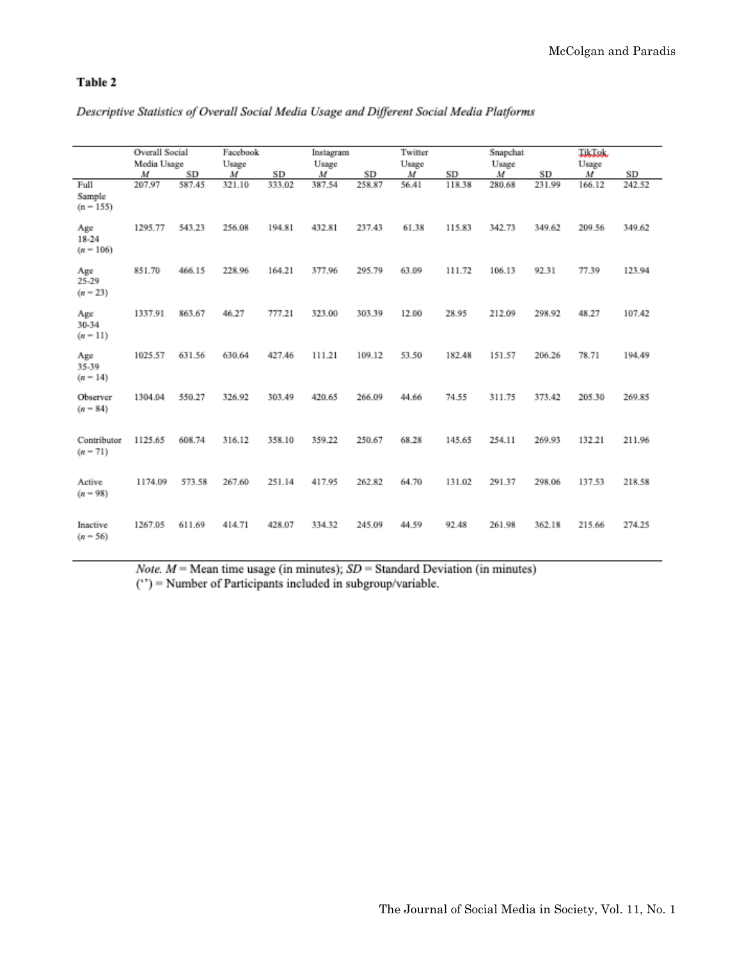#### Table 2

|                                 | Overall Social<br>Media Usage |        | Facebook<br>Usage |        | Instagram<br>Usage |        | Twitter<br>Usage |        | Snapchat<br>Usage |        | Jakobski<br>Usage |        |
|---------------------------------|-------------------------------|--------|-------------------|--------|--------------------|--------|------------------|--------|-------------------|--------|-------------------|--------|
|                                 | M                             | SD     | M                 | SD     | $\boldsymbol{M}$   | SD     | M                | SD     | M                 | SD     | M                 | SD     |
| Full<br>Sample<br>$(n - 155)$   | 207.97                        | 587.45 | 321.10            | 333.02 | 387.54             | 258.87 | 56.41            | 118.38 | 280.68            | 231.99 | 166.12            | 242.52 |
| Age<br>$18 - 24$<br>$(n - 106)$ | 1295.77                       | 543.23 | 256.08            | 194.81 | 432.81             | 237.43 | 61.38            | 115.83 | 342.73            | 349.62 | 209.56            | 349.62 |
| Age<br>$25 - 29$<br>$(n-23)$    | 851.70                        | 466.15 | 228.96            | 164.21 | 377.96             | 295.79 | 63.09            | 111.72 | 106.13            | 92.31  | 77.39             | 123.94 |
| Age<br>30-34<br>$(n - 11)$      | 1337.91                       | 863.67 | 46.27             | 777.21 | 323.00             | 303.39 | 12.00            | 28.95  | 212.09            | 298.92 | 48.27             | 107.42 |
| Age<br>35-39<br>$(n-14)$        | 1025.57                       | 631.56 | 630.64            | 427.46 | 111.21             | 109.12 | 53.50            | 182.48 | 151.57            | 206.26 | 78.71             | 194.49 |
| Observer<br>$(n = 84)$          | 1304.04                       | 550.27 | 326.92            | 303.49 | 420.65             | 266.09 | 44.66            | 74.55  | 311.75            | 373.42 | 205.30            | 269.85 |
| Contributor<br>$(n - 71)$       | 1125.65                       | 608.74 | 316.12            | 358.10 | 359.22             | 250.67 | 68.28            | 145.65 | 254.11            | 269.93 | 132.21            | 211.96 |
| Active<br>$(n - 98)$            | 1174.09                       | 573.58 | 267.60            | 251.14 | 417.95             | 262.82 | 64.70            | 131.02 | 291.37            | 298.06 | 137.53            | 218.58 |
| Inactive<br>$(n - 56)$          | 1267.05                       | 611.69 | 414.71            | 428.07 | 334.32             | 245.09 | 44.59            | 92.48  | 261.98            | 362.18 | 215.66            | 274.25 |

#### Descriptive Statistics of Overall Social Media Usage and Different Social Media Platforms

Note.  $M$  = Mean time usage (in minutes);  $SD$  = Standard Deviation (in minutes)  $(')$  = Number of Participants included in subgroup/variable.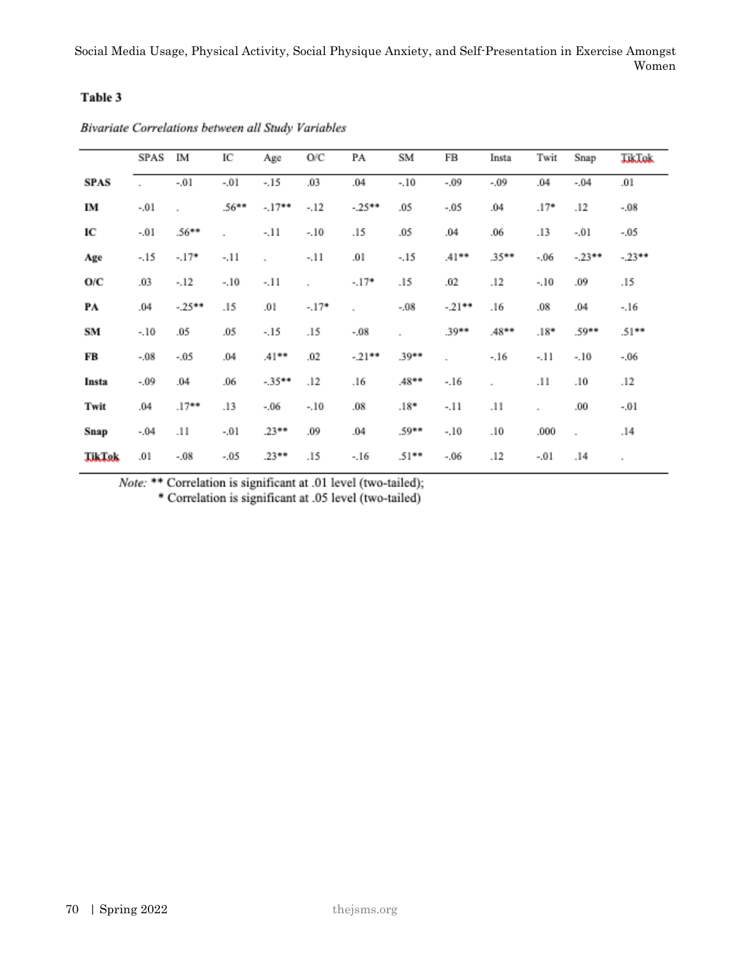#### Table 3

|               | SPAS    | IM       | IC       | Age      | O/C     | PA      | SM       | FB       | Insta    | Twit   | Snap    | Johns   |
|---------------|---------|----------|----------|----------|---------|---------|----------|----------|----------|--------|---------|---------|
| <b>SPAS</b>   | ٠       | $-.01$   | $-.01$   | $-.15$   | .03     | .04     | $-.10$   | $-.09$   | $-.09$   | .04    | $-.04$  | .01     |
| IM            | $-.01$  |          | $.56***$ | $-17**$  | $-.12$  | $-25**$ | .05      | $-.05$   | .04      | $.17*$ | .12     | $-.08$  |
| IC            | $-.01$  | $.56***$ | ×,       | $-.11$   | $-.10$  | .15     | .05      | .04      | .06      | .13    | $-.01$  | -.05    |
| Age           | $-.15$  | $-.17*$  | $-.11$   | ٠        | $-.11$  | .01     | $-.15$   | $.41***$ | $.35***$ | $-.06$ | $-23**$ | $-23**$ |
| O/C           | .03     | $-.12$   | $-.10$   | $-.11$   | ٠       | $-.17*$ | .15      | .02      | .12      | $-.10$ | .09     | .15     |
| PА            | .04     | $-25**$  | .15      | .01      | $-.17*$ |         | $-.08$   | $-21**$  | .16      | .08    | .04     | $-.16$  |
| SM            | $-.10$  | .05      | .05      | $-.15$   | .15     | $-.08$  | ٠        | $.39**$  | .48      | $.18*$ | $.59**$ | $.51**$ |
| FB            | $-.08$  | $-.05$   | .04      | $.41***$ | .02     | $-21**$ | $.39**$  |          | $-.16$   | $-.11$ | $-.10$  | $-.06$  |
| Insta         | $-0.09$ | .04      | .06      | $-35**$  | .12     | .16     | .48      | $-.16$   | ٠        | .11    | .10     | .12     |
| Twit          | .04     | .17      | .13      | $-.06$   | $-.10$  | .08     | $.18*$   | -.11     | .11      | ×,     | .00.    | $-.01$  |
| Snap          | $-.04$  | .11      | $-.01$   | $.23**$  | .09     | .04     | $.59**$  | $-.10$   | .10      | .000   | $\cdot$ | .14     |
| <b>Julian</b> | .01     | $-.08$   | $-.05$   | $.23**$  | .15     | $-.16$  | $.51***$ | $-06$    | .12      | $-.01$ | .14     | ٠       |

Bivariate Correlations between all Study Variables

Note: \*\* Correlation is significant at .01 level (two-tailed);

\* Correlation is significant at .05 level (two-tailed)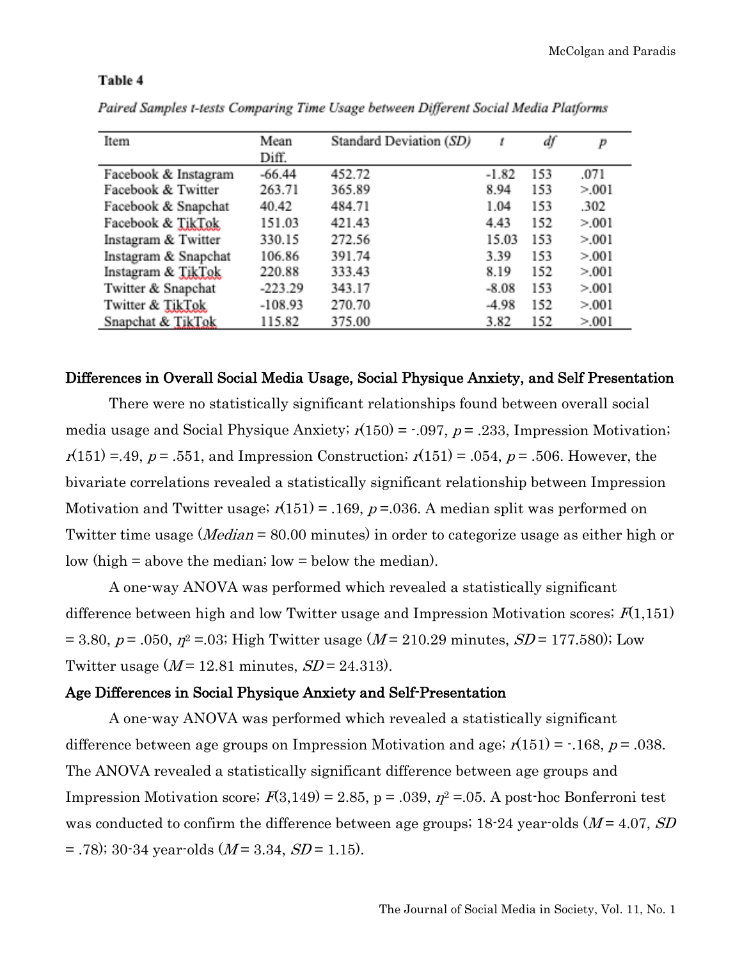| Item                 | Mean      | Standard Deviation (SD) | t       | df  | p       |
|----------------------|-----------|-------------------------|---------|-----|---------|
|                      | Diff.     |                         |         |     |         |
| Facebook & Instagram | $-66.44$  | 452.72                  | $-1.82$ | 153 | .071    |
| Facebook & Twitter   | 263.71    | 365.89                  | 8.94    | 153 | > 0.001 |
| Facebook & Snapchat  | 40.42     | 484.71                  | 1.04    | 153 | .302    |
| Facebook & TikTok    | 151.03    | 421.43                  | 4.43    | 152 | > 0.001 |
| Instagram & Twitter  | 330.15    | 272.56                  | 15.03   | 153 | > 0.001 |
| Instagram & Snapchat | 106.86    | 391.74                  | 3.39    | 153 | > 0.001 |
| Instagram & TikTok   | 220.88    | 333.43                  | 8.19    | 152 | > 0.001 |
| Twitter & Snapchat   | $-223.29$ | 343.17                  | $-8.08$ | 153 | > 0.001 |
| Twitter & TikTok     | $-108.93$ | 270.70                  | -4.98   | 152 | > 0.001 |
| Snapchat & TikTok    | 115.82    | 375.00                  | 3.82    | 152 | > 0.001 |

#### Table 4

Paired Samples t-tests Comparing Time Usage between Different Social Media Platforms

#### Differences in Overall Social Media Usage, Social Physique Anxiety, and Self Presentation

There were no statistically significant relationships found between overall social media usage and Social Physique Anxiety;  $r(150) = -0.097$ ,  $p = 0.233$ , Impression Motivation;  $r(151) = .49, p = .551,$  and Impression Construction;  $r(151) = .054, p = .506$ . However, the bivariate correlations revealed a statistically significant relationship between Impression Motivation and Twitter usage;  $r(151) = .169$ ,  $p = .036$ . A median split was performed on Twitter time usage (*Median* = 80.00 minutes) in order to categorize usage as either high or low (high = above the median; low = below the median).

A one-way ANOVA was performed which revealed a statistically significant difference between high and low Twitter usage and Impression Motivation scores;  $F(1,151)$ = 3.80, p = .050,  $\eta^2$  = .03; High Twitter usage (M = 210.29 minutes, SD = 177.580); Low Twitter usage  $(M = 12.81$  minutes,  $SD = 24.313$ .

#### Age Differences in Social Physique Anxiety and Self-Presentation

A one-way ANOVA was performed which revealed a statistically significant difference between age groups on Impression Motivation and age;  $r(151) = -168$ ,  $p = .038$ . The ANOVA revealed a statistically significant difference between age groups and Impression Motivation score;  $F(3,149) = 2.85$ , p = .039,  $\eta^2 = 0.05$ . A post-hoc Bonferroni test was conducted to confirm the difference between age groups;  $18-24$  year-olds ( $M = 4.07$ ,  $SD$ )  $=$  .78); 30-34 year-olds (*M* = 3.34, *SD* = 1.15).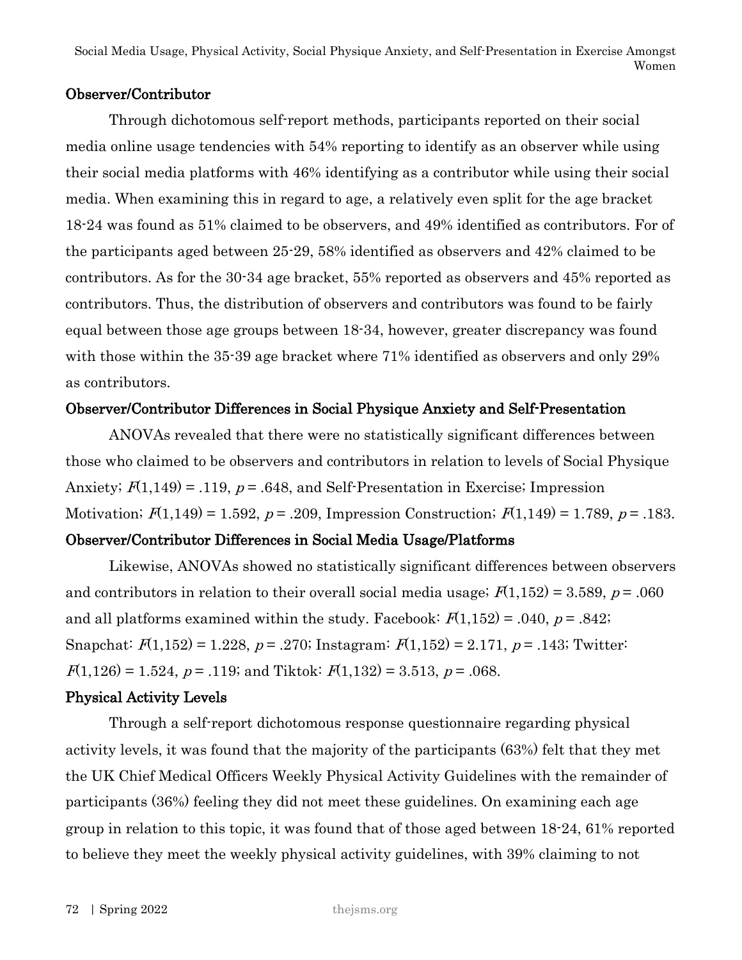# Observer/Contributor

Through dichotomous self-report methods, participants reported on their social media online usage tendencies with 54% reporting to identify as an observer while using their social media platforms with 46% identifying as a contributor while using their social media. When examining this in regard to age, a relatively even split for the age bracket 18-24 was found as 51% claimed to be observers, and 49% identified as contributors. For of the participants aged between 25-29, 58% identified as observers and 42% claimed to be contributors. As for the 30-34 age bracket, 55% reported as observers and 45% reported as contributors. Thus, the distribution of observers and contributors was found to be fairly equal between those age groups between 18-34, however, greater discrepancy was found with those within the 35-39 age bracket where 71% identified as observers and only 29% as contributors.

# Observer/Contributor Differences in Social Physique Anxiety and Self-Presentation

ANOVAs revealed that there were no statistically significant differences between those who claimed to be observers and contributors in relation to levels of Social Physique Anxiety;  $F(1,149) = .119$ ,  $p = .648$ , and Self-Presentation in Exercise; Impression Motivation;  $F(1,149) = 1.592$ ,  $p = .209$ , Impression Construction;  $F(1,149) = 1.789$ ,  $p = .183$ .

# Observer/Contributor Differences in Social Media Usage/Platforms

Likewise, ANOVAs showed no statistically significant differences between observers and contributors in relation to their overall social media usage;  $F(1,152) = 3.589$ ,  $p = .060$ and all platforms examined within the study. Facebook:  $F(1,152) = .040, p = .842;$ Snapchat:  $F(1,152) = 1.228$ ,  $p = .270$ ; Instagram:  $F(1,152) = 2.171$ ,  $p = .143$ ; Twitter:  $F(1,126) = 1.524$ ,  $p = .119$ ; and Tiktok:  $F(1,132) = 3.513$ ,  $p = .068$ .

# Physical Activity Levels

Through a self-report dichotomous response questionnaire regarding physical activity levels, it was found that the majority of the participants (63%) felt that they met the UK Chief Medical Officers Weekly Physical Activity Guidelines with the remainder of participants (36%) feeling they did not meet these guidelines. On examining each age group in relation to this topic, it was found that of those aged between 18-24, 61% reported to believe they meet the weekly physical activity guidelines, with 39% claiming to not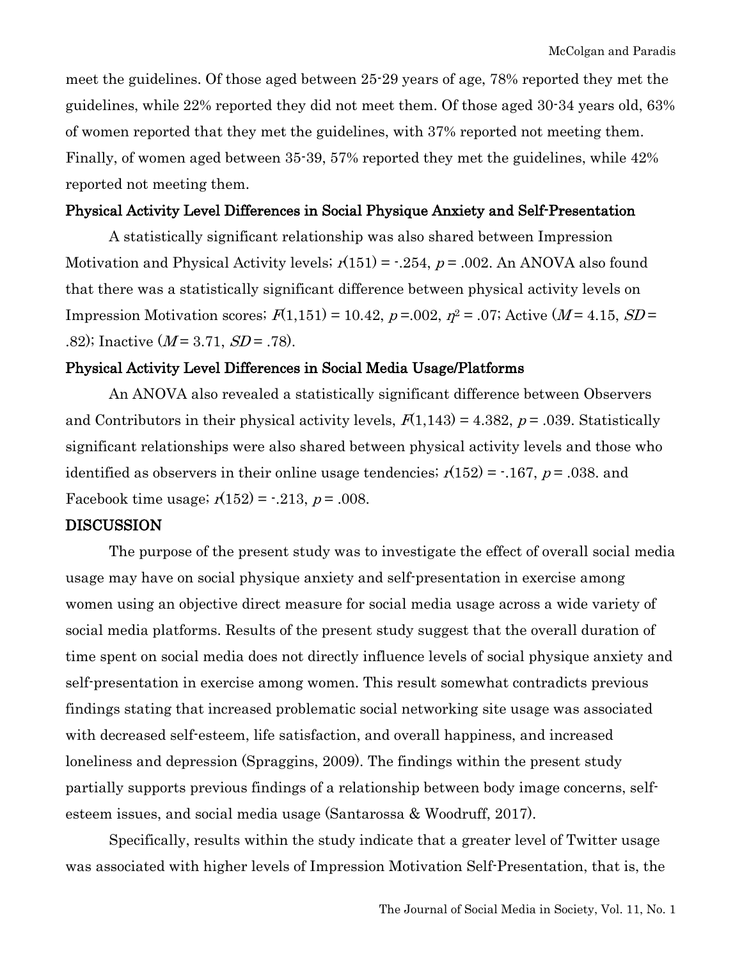meet the guidelines. Of those aged between 25-29 years of age, 78% reported they met the guidelines, while 22% reported they did not meet them. Of those aged 30-34 years old, 63% of women reported that they met the guidelines, with 37% reported not meeting them. Finally, of women aged between 35-39, 57% reported they met the guidelines, while 42% reported not meeting them.

#### Physical Activity Level Differences in Social Physique Anxiety and Self-Presentation

A statistically significant relationship was also shared between Impression Motivation and Physical Activity levels;  $r(151) = -0.254$ ,  $p = 0.002$ . An ANOVA also found that there was a statistically significant difference between physical activity levels on Impression Motivation scores;  $F(1,151) = 10.42$ ,  $p = .002$ ,  $p^2 = .07$ ; Active (M = 4.15, SD = .82); Inactive  $(M = 3.71, SD = .78)$ .

#### Physical Activity Level Differences in Social Media Usage/Platforms

An ANOVA also revealed a statistically significant difference between Observers and Contributors in their physical activity levels,  $F(1,143) = 4.382$ ,  $p = .039$ . Statistically significant relationships were also shared between physical activity levels and those who identified as observers in their online usage tendencies;  $r(152) = -167$ ,  $p = .038$ . and Facebook time usage;  $r(152) = -0.213$ ,  $p = 0.008$ .

#### **DISCUSSION**

The purpose of the present study was to investigate the effect of overall social media usage may have on social physique anxiety and self-presentation in exercise among women using an objective direct measure for social media usage across a wide variety of social media platforms. Results of the present study suggest that the overall duration of time spent on social media does not directly influence levels of social physique anxiety and self-presentation in exercise among women. This result somewhat contradicts previous findings stating that increased problematic social networking site usage was associated with decreased self-esteem, life satisfaction, and overall happiness, and increased loneliness and depression (Spraggins, 2009). The findings within the present study partially supports previous findings of a relationship between body image concerns, selfesteem issues, and social media usage (Santarossa & Woodruff, 2017).

Specifically, results within the study indicate that a greater level of Twitter usage was associated with higher levels of Impression Motivation Self-Presentation, that is, the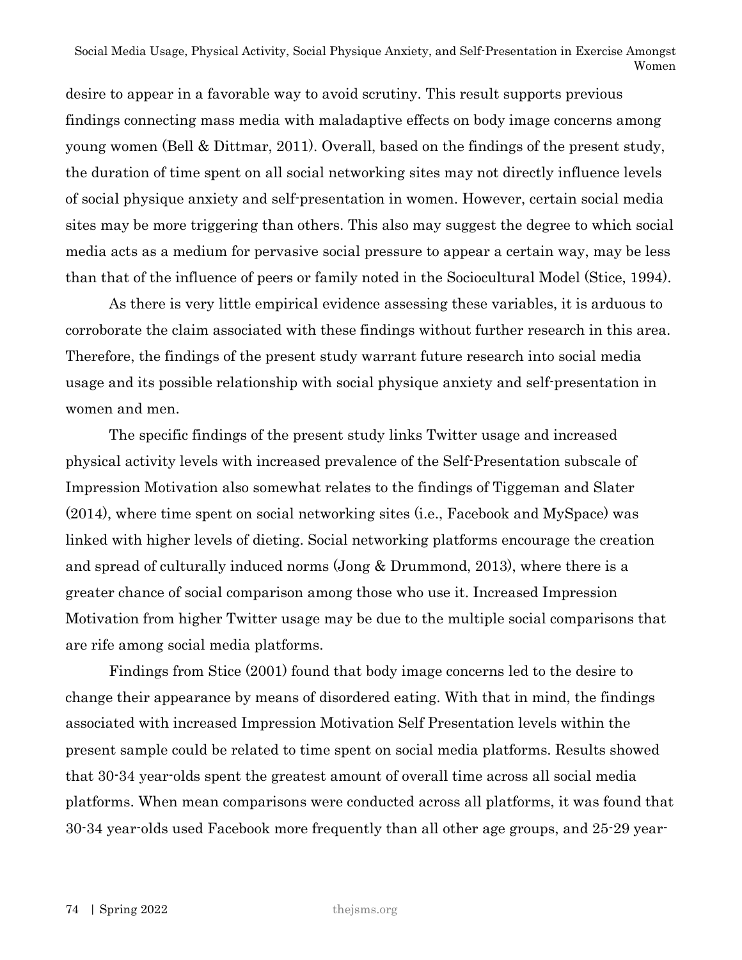desire to appear in a favorable way to avoid scrutiny. This result supports previous findings connecting mass media with maladaptive effects on body image concerns among young women (Bell & Dittmar, 2011). Overall, based on the findings of the present study, the duration of time spent on all social networking sites may not directly influence levels of social physique anxiety and self-presentation in women. However, certain social media sites may be more triggering than others. This also may suggest the degree to which social media acts as a medium for pervasive social pressure to appear a certain way, may be less than that of the influence of peers or family noted in the Sociocultural Model (Stice, 1994).

As there is very little empirical evidence assessing these variables, it is arduous to corroborate the claim associated with these findings without further research in this area. Therefore, the findings of the present study warrant future research into social media usage and its possible relationship with social physique anxiety and self-presentation in women and men.

The specific findings of the present study links Twitter usage and increased physical activity levels with increased prevalence of the Self-Presentation subscale of Impression Motivation also somewhat relates to the findings of Tiggeman and Slater (2014), where time spent on social networking sites (i.e., Facebook and MySpace) was linked with higher levels of dieting. Social networking platforms encourage the creation and spread of culturally induced norms (Jong & Drummond, 2013), where there is a greater chance of social comparison among those who use it. Increased Impression Motivation from higher Twitter usage may be due to the multiple social comparisons that are rife among social media platforms.

Findings from Stice (2001) found that body image concerns led to the desire to change their appearance by means of disordered eating. With that in mind, the findings associated with increased Impression Motivation Self Presentation levels within the present sample could be related to time spent on social media platforms. Results showed that 30-34 year-olds spent the greatest amount of overall time across all social media platforms. When mean comparisons were conducted across all platforms, it was found that 30-34 year-olds used Facebook more frequently than all other age groups, and 25-29 year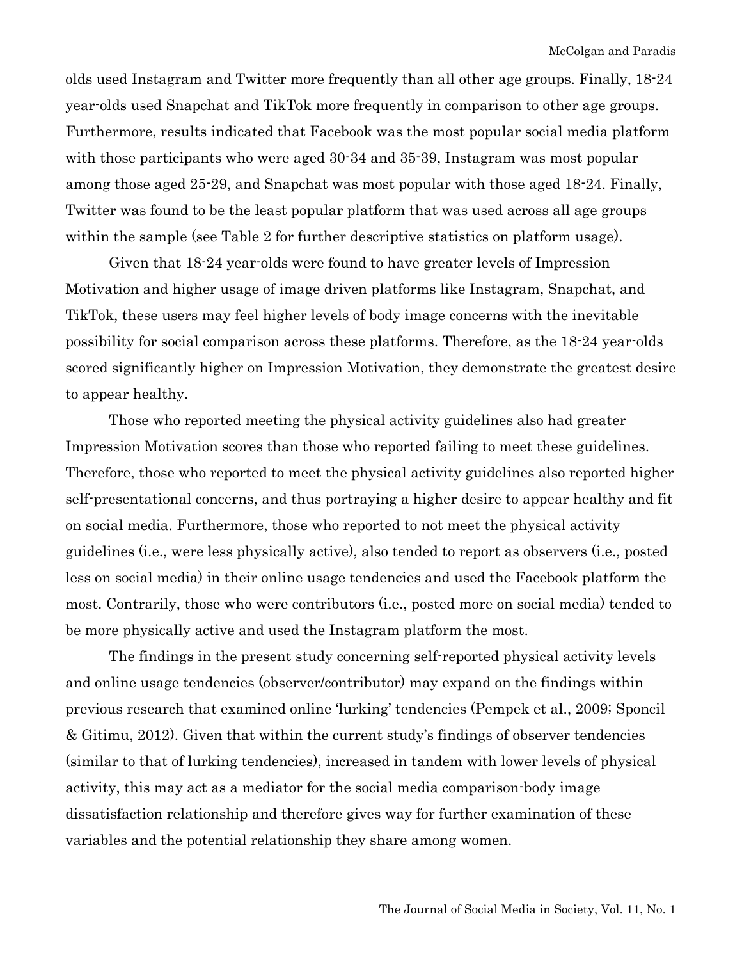olds used Instagram and Twitter more frequently than all other age groups. Finally, 18-24 year-olds used Snapchat and TikTok more frequently in comparison to other age groups. Furthermore, results indicated that Facebook was the most popular social media platform with those participants who were aged 30-34 and 35-39, Instagram was most popular among those aged 25-29, and Snapchat was most popular with those aged 18-24. Finally, Twitter was found to be the least popular platform that was used across all age groups within the sample (see Table 2 for further descriptive statistics on platform usage).

Given that 18-24 year-olds were found to have greater levels of Impression Motivation and higher usage of image driven platforms like Instagram, Snapchat, and TikTok, these users may feel higher levels of body image concerns with the inevitable possibility for social comparison across these platforms. Therefore, as the 18-24 year-olds scored significantly higher on Impression Motivation, they demonstrate the greatest desire to appear healthy.

Those who reported meeting the physical activity guidelines also had greater Impression Motivation scores than those who reported failing to meet these guidelines. Therefore, those who reported to meet the physical activity guidelines also reported higher self-presentational concerns, and thus portraying a higher desire to appear healthy and fit on social media. Furthermore, those who reported to not meet the physical activity guidelines (i.e., were less physically active), also tended to report as observers (i.e., posted less on social media) in their online usage tendencies and used the Facebook platform the most. Contrarily, those who were contributors (i.e., posted more on social media) tended to be more physically active and used the Instagram platform the most.

The findings in the present study concerning self-reported physical activity levels and online usage tendencies (observer/contributor) may expand on the findings within previous research that examined online 'lurking' tendencies (Pempek et al., 2009; Sponcil & Gitimu, 2012). Given that within the current study's findings of observer tendencies (similar to that of lurking tendencies), increased in tandem with lower levels of physical activity, this may act as a mediator for the social media comparison-body image dissatisfaction relationship and therefore gives way for further examination of these variables and the potential relationship they share among women.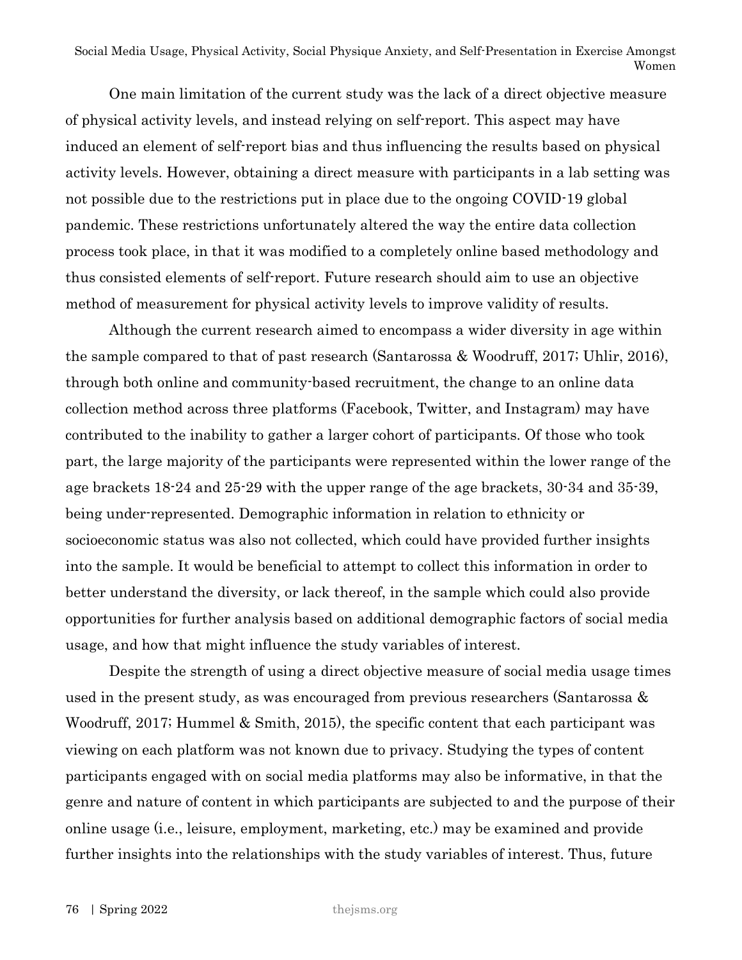One main limitation of the current study was the lack of a direct objective measure of physical activity levels, and instead relying on self-report. This aspect may have induced an element of self-report bias and thus influencing the results based on physical activity levels. However, obtaining a direct measure with participants in a lab setting was not possible due to the restrictions put in place due to the ongoing COVID-19 global pandemic. These restrictions unfortunately altered the way the entire data collection process took place, in that it was modified to a completely online based methodology and thus consisted elements of self-report. Future research should aim to use an objective method of measurement for physical activity levels to improve validity of results.

Although the current research aimed to encompass a wider diversity in age within the sample compared to that of past research (Santarossa & Woodruff, 2017; Uhlir, 2016), through both online and community-based recruitment, the change to an online data collection method across three platforms (Facebook, Twitter, and Instagram) may have contributed to the inability to gather a larger cohort of participants. Of those who took part, the large majority of the participants were represented within the lower range of the age brackets 18-24 and 25-29 with the upper range of the age brackets, 30-34 and 35-39, being under-represented. Demographic information in relation to ethnicity or socioeconomic status was also not collected, which could have provided further insights into the sample. It would be beneficial to attempt to collect this information in order to better understand the diversity, or lack thereof, in the sample which could also provide opportunities for further analysis based on additional demographic factors of social media usage, and how that might influence the study variables of interest.

Despite the strength of using a direct objective measure of social media usage times used in the present study, as was encouraged from previous researchers (Santarossa & Woodruff, 2017; Hummel & Smith, 2015), the specific content that each participant was viewing on each platform was not known due to privacy. Studying the types of content participants engaged with on social media platforms may also be informative, in that the genre and nature of content in which participants are subjected to and the purpose of their online usage (i.e., leisure, employment, marketing, etc.) may be examined and provide further insights into the relationships with the study variables of interest. Thus, future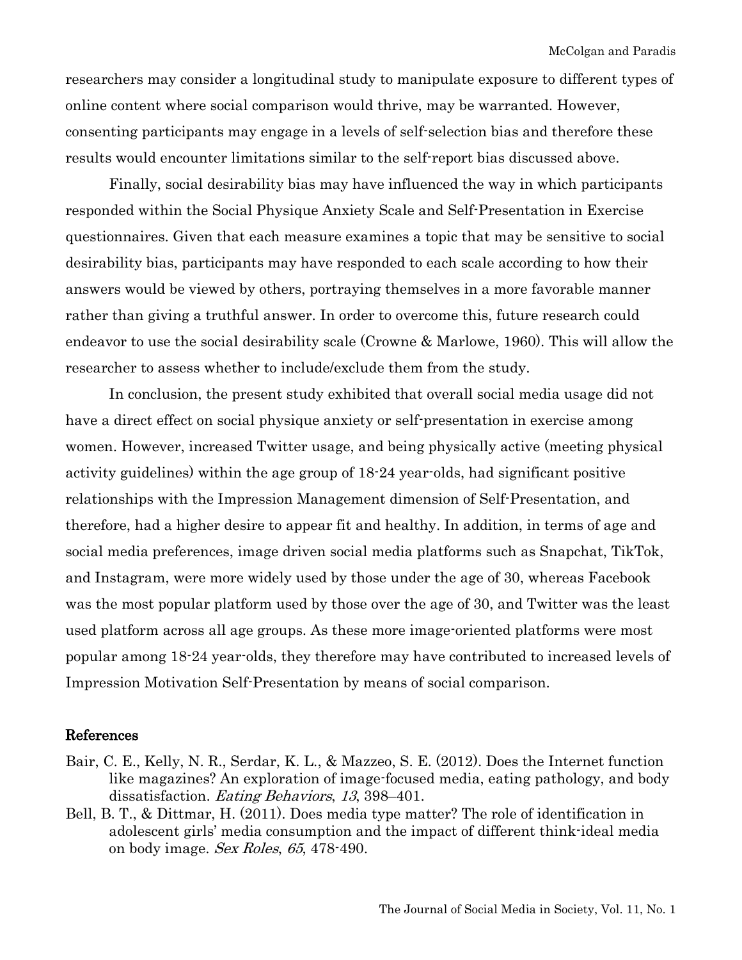researchers may consider a longitudinal study to manipulate exposure to different types of online content where social comparison would thrive, may be warranted. However, consenting participants may engage in a levels of self-selection bias and therefore these results would encounter limitations similar to the self-report bias discussed above.

Finally, social desirability bias may have influenced the way in which participants responded within the Social Physique Anxiety Scale and Self-Presentation in Exercise questionnaires. Given that each measure examines a topic that may be sensitive to social desirability bias, participants may have responded to each scale according to how their answers would be viewed by others, portraying themselves in a more favorable manner rather than giving a truthful answer. In order to overcome this, future research could endeavor to use the social desirability scale (Crowne & Marlowe, 1960). This will allow the researcher to assess whether to include/exclude them from the study.

In conclusion, the present study exhibited that overall social media usage did not have a direct effect on social physique anxiety or self-presentation in exercise among women. However, increased Twitter usage, and being physically active (meeting physical activity guidelines) within the age group of 18-24 year-olds, had significant positive relationships with the Impression Management dimension of Self-Presentation, and therefore, had a higher desire to appear fit and healthy. In addition, in terms of age and social media preferences, image driven social media platforms such as Snapchat, TikTok, and Instagram, were more widely used by those under the age of 30, whereas Facebook was the most popular platform used by those over the age of 30, and Twitter was the least used platform across all age groups. As these more image-oriented platforms were most popular among 18-24 year-olds, they therefore may have contributed to increased levels of Impression Motivation Self-Presentation by means of social comparison.

#### References

- Bair, C. E., Kelly, N. R., Serdar, K. L., & Mazzeo, S. E. (2012). Does the Internet function like magazines? An exploration of image-focused media, eating pathology, and body dissatisfaction. Eating Behaviors, 13, 398–401.
- Bell, B. T., & Dittmar, H. (2011). Does media type matter? The role of identification in adolescent girls' media consumption and the impact of different think-ideal media on body image. Sex Roles, 65, 478-490.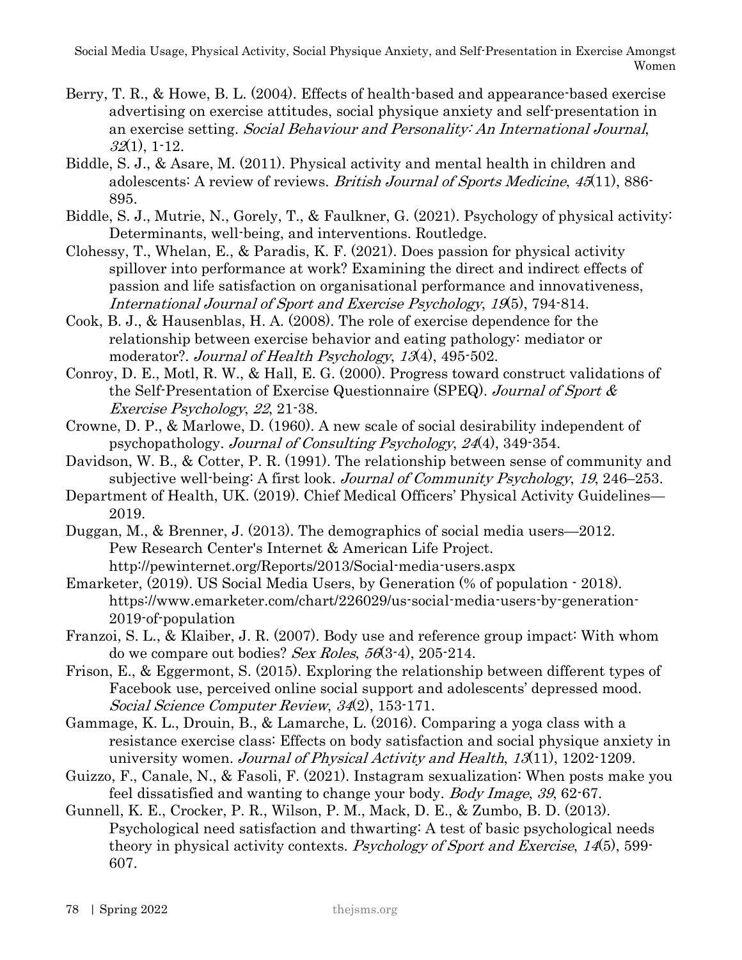- Berry, T. R., & Howe, B. L. (2004). Effects of health-based and appearance-based exercise advertising on exercise attitudes, social physique anxiety and self-presentation in an exercise setting. Social Behaviour and Personality: An International Journal,  $32(1)$ , 1-12.
- Biddle, S. J., & Asare, M. (2011). Physical activity and mental health in children and adolescents: A review of reviews. British Journal of Sports Medicine, 45(11), 886- 895.
- Biddle, S. J., Mutrie, N., Gorely, T., & Faulkner, G. (2021). Psychology of physical activity: Determinants, well-being, and interventions. Routledge.
- Clohessy, T., Whelan, E., & Paradis, K. F. (2021). Does passion for physical activity spillover into performance at work? Examining the direct and indirect effects of passion and life satisfaction on organisational performance and innovativeness, International Journal of Sport and Exercise Psychology, 19(5), 794-814.
- Cook, B. J., & Hausenblas, H. A. (2008). The role of exercise dependence for the relationship between exercise behavior and eating pathology: mediator or moderator?. Journal of Health Psychology, 13(4), 495-502.
- Conroy, D. E., Motl, R. W., & Hall, E. G. (2000). Progress toward construct validations of the Self-Presentation of Exercise Questionnaire (SPEQ). Journal of Sport & Exercise Psychology, 22, 21-38.
- Crowne, D. P., & Marlowe, D. (1960). A new scale of social desirability independent of psychopathology. Journal of Consulting Psychology, 24(4), 349-354.
- Davidson, W. B., & Cotter, P. R. (1991). The relationship between sense of community and subjective well-being: A first look. Journal of Community Psychology, 19, 246–253.
- Department of Health, UK. (2019). Chief Medical Officers' Physical Activity Guidelines— 2019.

Duggan, M., & Brenner, J. (2013). The demographics of social media users—2012. Pew Research Center's Internet & American Life Project. http://pewinternet.org/Reports/2013/Social-media-users.aspx

- Emarketer, (2019). US Social Media Users, by Generation (% of population 2018). https://www.emarketer.com/chart/226029/us-social-media-users-by-generation-2019-of-population
- Franzoi, S. L., & Klaiber, J. R. (2007). Body use and reference group impact: With whom do we compare out bodies? Sex Roles,  $56(3-4)$ ,  $205-214$ .
- Frison, E., & Eggermont, S. (2015). Exploring the relationship between different types of Facebook use, perceived online social support and adolescents' depressed mood. Social Science Computer Review, 34(2), 153-171.
- Gammage, K. L., Drouin, B., & Lamarche, L. (2016). Comparing a yoga class with a resistance exercise class: Effects on body satisfaction and social physique anxiety in university women. *Journal of Physical Activity and Health*, 13(11), 1202-1209.
- Guizzo, F., Canale, N., & Fasoli, F. (2021). Instagram sexualization: When posts make you feel dissatisfied and wanting to change your body. Body Image, 39, 62-67.
- Gunnell, K. E., Crocker, P. R., Wilson, P. M., Mack, D. E., & Zumbo, B. D. (2013). Psychological need satisfaction and thwarting: A test of basic psychological needs theory in physical activity contexts. Psychology of Sport and Exercise, 14(5), 599-607.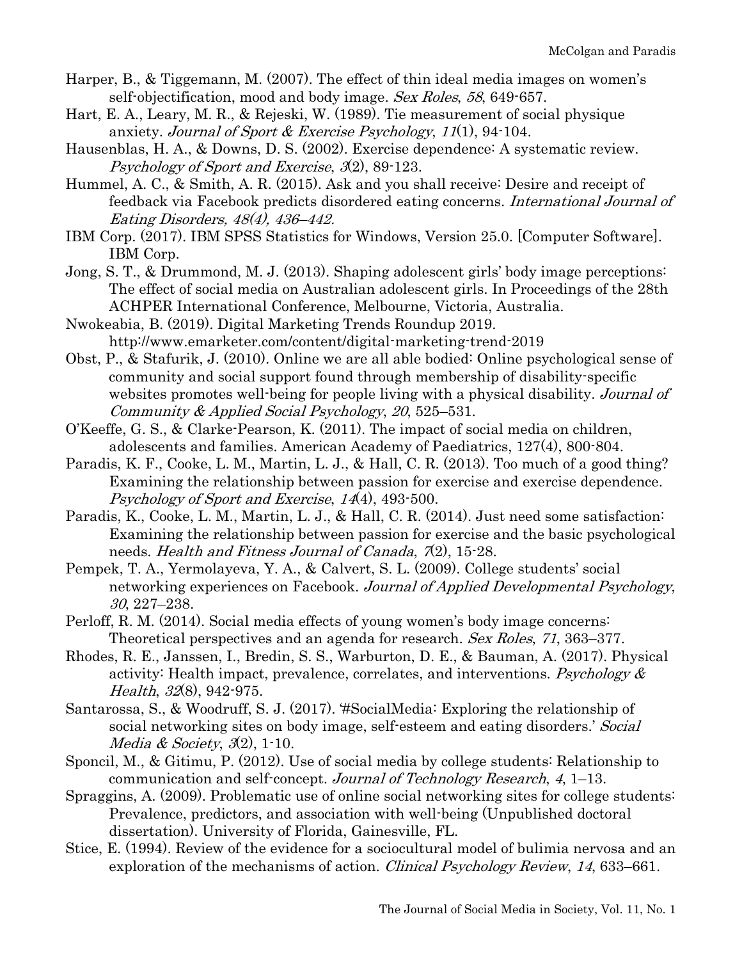- Harper, B., & Tiggemann, M. (2007). The effect of thin ideal media images on women's self-objectification, mood and body image. Sex Roles, 58, 649-657.
- Hart, E. A., Leary, M. R., & Rejeski, W. (1989). Tie measurement of social physique anxiety. Journal of Sport & Exercise Psychology, 11(1), 94-104.
- Hausenblas, H. A., & Downs, D. S. (2002). Exercise dependence: A systematic review. Psychology of Sport and Exercise, 3(2), 89-123.
- Hummel, A. C., & Smith, A. R. (2015). Ask and you shall receive: Desire and receipt of feedback via Facebook predicts disordered eating concerns. International Journal of Eating Disorders, 48(4), 436–442.
- IBM Corp. (2017). IBM SPSS Statistics for Windows, Version 25.0. [Computer Software]. IBM Corp.
- Jong, S. T., & Drummond, M. J. (2013). Shaping adolescent girls' body image perceptions: The effect of social media on Australian adolescent girls. In Proceedings of the 28th ACHPER International Conference, Melbourne, Victoria, Australia.
- Nwokeabia, B. (2019). Digital Marketing Trends Roundup 2019. http://www.emarketer.com/content/digital-marketing-trend-2019
- Obst, P., & Stafurik, J. (2010). Online we are all able bodied: Online psychological sense of community and social support found through membership of disability-specific websites promotes well-being for people living with a physical disability. Journal of Community & Applied Social Psychology, 20, 525–531.
- O'Keeffe, G. S., & Clarke-Pearson, K. (2011). The impact of social media on children, adolescents and families. American Academy of Paediatrics, 127(4), 800-804.
- Paradis, K. F., Cooke, L. M., Martin, L. J., & Hall, C. R. (2013). Too much of a good thing? Examining the relationship between passion for exercise and exercise dependence. Psychology of Sport and Exercise, 14(4), 493-500.
- Paradis, K., Cooke, L. M., Martin, L. J., & Hall, C. R. (2014). Just need some satisfaction: Examining the relationship between passion for exercise and the basic psychological needs. Health and Fitness Journal of Canada,  $7(2)$ , 15-28.
- Pempek, T. A., Yermolayeva, Y. A., & Calvert, S. L. (2009). College students' social networking experiences on Facebook. Journal of Applied Developmental Psychology, 30, 227–238.
- Perloff, R. M. (2014). Social media effects of young women's body image concerns: Theoretical perspectives and an agenda for research. Sex Roles, 71, 363–377.
- Rhodes, R. E., Janssen, I., Bredin, S. S., Warburton, D. E., & Bauman, A. (2017). Physical activity: Health impact, prevalence, correlates, and interventions. Psychology  $\&$ Health, 32(8), 942-975.
- Santarossa, S., & Woodruff, S. J. (2017). '#SocialMedia: Exploring the relationship of social networking sites on body image, self-esteem and eating disorders.' Social Media & Society,  $3(2)$ , 1-10.
- Sponcil, M., & Gitimu, P. (2012). Use of social media by college students: Relationship to communication and self-concept. Journal of Technology Research, 4, 1–13.
- Spraggins, A. (2009). Problematic use of online social networking sites for college students: Prevalence, predictors, and association with well-being (Unpublished doctoral dissertation). University of Florida, Gainesville, FL.
- Stice, E. (1994). Review of the evidence for a sociocultural model of bulimia nervosa and an exploration of the mechanisms of action. Clinical Psychology Review, 14, 633-661.